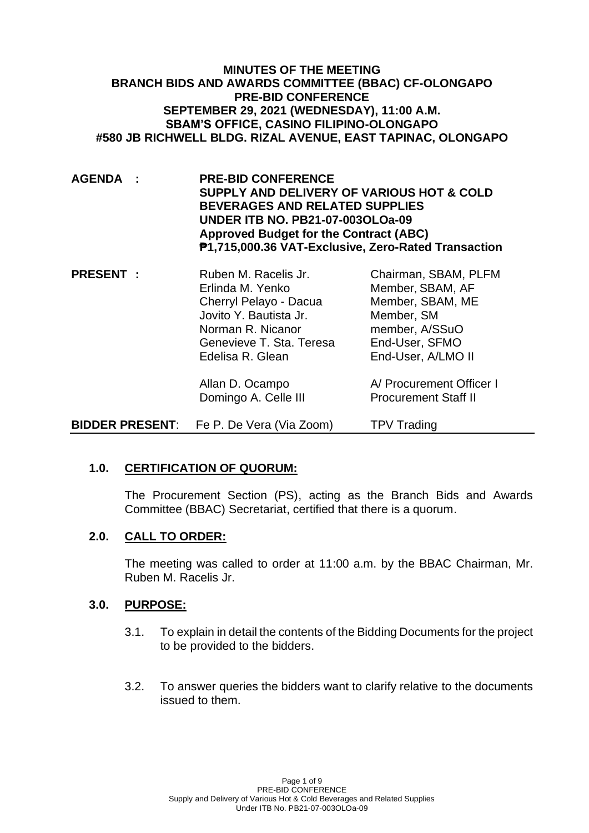### **MINUTES OF THE MEETING BRANCH BIDS AND AWARDS COMMITTEE (BBAC) CF-OLONGAPO PRE-BID CONFERENCE SEPTEMBER 29, 2021 (WEDNESDAY), 11:00 A.M. SBAM'S OFFICE, CASINO FILIPINO-OLONGAPO #580 JB RICHWELL BLDG. RIZAL AVENUE, EAST TAPINAC, OLONGAPO**

- **AGENDA : PRE-BID CONFERENCE SUPPLY AND DELIVERY OF VARIOUS HOT & COLD BEVERAGES AND RELATED SUPPLIES UNDER ITB NO. PB21-07-003OLOa-09 Approved Budget for the Contract (ABC) ₱1,715,000.36 VAT-Exclusive, Zero-Rated Transaction**
- **PRESENT :** Ruben M. Racelis Jr. Chairman, SBAM, PLFM Erlinda M. Yenko Member, SBAM, AF Cherryl Pelayo - Dacua Member, SBAM, ME Jovito Y. Bautista Jr. Member, SM Norman R. Nicanor member, A/SSuO Genevieve T. Sta. Teresa End-User, SFMO Edelisa R. Glean End-User, A/LMO II Allan D. Ocampo A/ Procurement Officer I Domingo A. Celle III Procurement Staff II
- **BIDDER PRESENT:** Fe P. De Vera (Via Zoom) TPV Trading

## **1.0. CERTIFICATION OF QUORUM:**

The Procurement Section (PS), acting as the Branch Bids and Awards Committee (BBAC) Secretariat, certified that there is a quorum.

## **2.0. CALL TO ORDER:**

The meeting was called to order at 11:00 a.m. by the BBAC Chairman, Mr. Ruben M. Racelis Jr.

#### **3.0. PURPOSE:**

- 3.1. To explain in detail the contents of the Bidding Documents for the project to be provided to the bidders.
- 3.2. To answer queries the bidders want to clarify relative to the documents issued to them.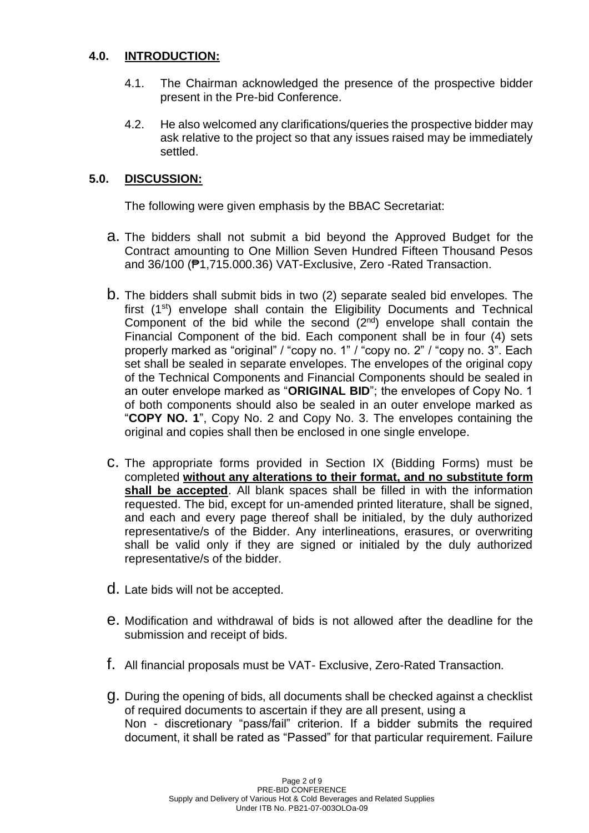## **4.0. INTRODUCTION:**

- 4.1. The Chairman acknowledged the presence of the prospective bidder present in the Pre-bid Conference.
- 4.2. He also welcomed any clarifications/queries the prospective bidder may ask relative to the project so that any issues raised may be immediately settled.

## **5.0. DISCUSSION:**

The following were given emphasis by the BBAC Secretariat:

- a. The bidders shall not submit a bid beyond the Approved Budget for the Contract amounting to One Million Seven Hundred Fifteen Thousand Pesos and 36/100 (₱1,715.000.36) VAT-Exclusive, Zero -Rated Transaction.
- b. The bidders shall submit bids in two (2) separate sealed bid envelopes. The first (1st) envelope shall contain the Eligibility Documents and Technical Component of the bid while the second  $(2^{nd})$  envelope shall contain the Financial Component of the bid. Each component shall be in four (4) sets properly marked as "original" / "copy no. 1" / "copy no. 2" / "copy no. 3". Each set shall be sealed in separate envelopes. The envelopes of the original copy of the Technical Components and Financial Components should be sealed in an outer envelope marked as "**ORIGINAL BID**"; the envelopes of Copy No. 1 of both components should also be sealed in an outer envelope marked as "**COPY NO. 1**", Copy No. 2 and Copy No. 3. The envelopes containing the original and copies shall then be enclosed in one single envelope.
- c. The appropriate forms provided in Section IX (Bidding Forms) must be completed **without any alterations to their format, and no substitute form shall be accepted**. All blank spaces shall be filled in with the information requested. The bid, except for un-amended printed literature, shall be signed, and each and every page thereof shall be initialed, by the duly authorized representative/s of the Bidder. Any interlineations, erasures, or overwriting shall be valid only if they are signed or initialed by the duly authorized representative/s of the bidder.
- d. Late bids will not be accepted.
- e. Modification and withdrawal of bids is not allowed after the deadline for the submission and receipt of bids.
- f. All financial proposals must be VAT- Exclusive, Zero-Rated Transaction.
- g. During the opening of bids, all documents shall be checked against a checklist of required documents to ascertain if they are all present, using a Non - discretionary "pass/fail" criterion. If a bidder submits the required document, it shall be rated as "Passed" for that particular requirement. Failure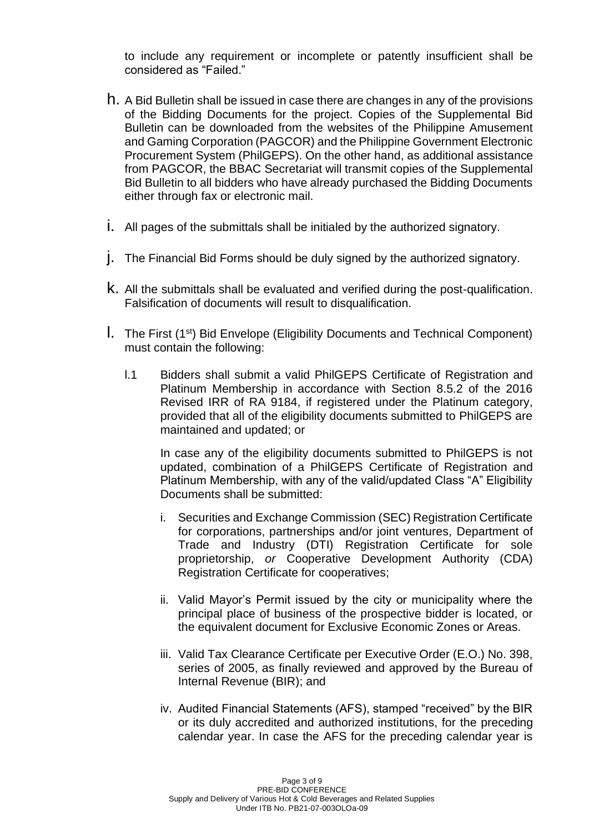to include any requirement or incomplete or patently insufficient shall be considered as "Failed."

- h. A Bid Bulletin shall be issued in case there are changes in any of the provisions of the Bidding Documents for the project. Copies of the Supplemental Bid Bulletin can be downloaded from the websites of the Philippine Amusement and Gaming Corporation (PAGCOR) and the Philippine Government Electronic Procurement System (PhilGEPS). On the other hand, as additional assistance from PAGCOR, the BBAC Secretariat will transmit copies of the Supplemental Bid Bulletin to all bidders who have already purchased the Bidding Documents either through fax or electronic mail.
- i. All pages of the submittals shall be initialed by the authorized signatory.
- j. The Financial Bid Forms should be duly signed by the authorized signatory.
- k. All the submittals shall be evaluated and verified during the post-qualification. Falsification of documents will result to disqualification.
- l. The First (1st) Bid Envelope (Eligibility Documents and Technical Component) must contain the following:
	- l.1 Bidders shall submit a valid PhilGEPS Certificate of Registration and Platinum Membership in accordance with Section 8.5.2 of the 2016 Revised IRR of RA 9184, if registered under the Platinum category, provided that all of the eligibility documents submitted to PhilGEPS are maintained and updated; or

In case any of the eligibility documents submitted to PhilGEPS is not updated, combination of a PhilGEPS Certificate of Registration and Platinum Membership, with any of the valid/updated Class "A" Eligibility Documents shall be submitted:

- i. Securities and Exchange Commission (SEC) Registration Certificate for corporations, partnerships and/or joint ventures, Department of Trade and Industry (DTI) Registration Certificate for sole proprietorship, *or* Cooperative Development Authority (CDA) Registration Certificate for cooperatives;
- ii. Valid Mayor's Permit issued by the city or municipality where the principal place of business of the prospective bidder is located, or the equivalent document for Exclusive Economic Zones or Areas.
- iii. Valid Tax Clearance Certificate per Executive Order (E.O.) No. 398, series of 2005, as finally reviewed and approved by the Bureau of Internal Revenue (BIR); and
- iv. Audited Financial Statements (AFS), stamped "received" by the BIR or its duly accredited and authorized institutions, for the preceding calendar year. In case the AFS for the preceding calendar year is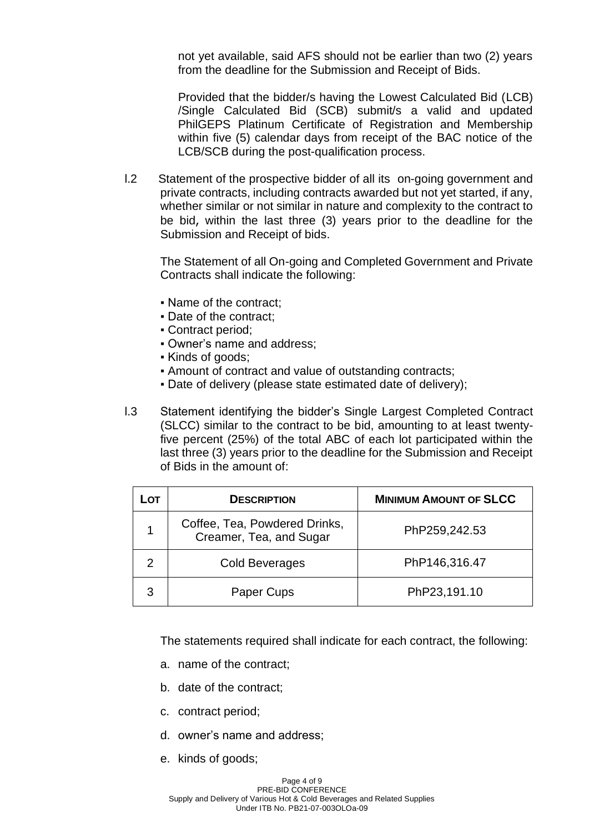not yet available, said AFS should not be earlier than two (2) years from the deadline for the Submission and Receipt of Bids.

Provided that the bidder/s having the Lowest Calculated Bid (LCB) /Single Calculated Bid (SCB) submit/s a valid and updated PhilGEPS Platinum Certificate of Registration and Membership within five (5) calendar days from receipt of the BAC notice of the LCB/SCB during the post-qualification process.

l.2 Statement of the prospective bidder of all its on-going government and private contracts, including contracts awarded but not yet started, if any, whether similar or not similar in nature and complexity to the contract to be bid, within the last three (3) years prior to the deadline for the Submission and Receipt of bids.

The Statement of all On-going and Completed Government and Private Contracts shall indicate the following:

- Name of the contract:
- Date of the contract;
- Contract period;
- Owner's name and address;
- Kinds of goods;
- Amount of contract and value of outstanding contracts;
- Date of delivery (please state estimated date of delivery);
- l.3 Statement identifying the bidder's Single Largest Completed Contract (SLCC) similar to the contract to be bid, amounting to at least twentyfive percent (25%) of the total ABC of each lot participated within the last three (3) years prior to the deadline for the Submission and Receipt of Bids in the amount of:

| LOT | <b>DESCRIPTION</b>                                       | <b>MINIMUM AMOUNT OF SLCC</b> |
|-----|----------------------------------------------------------|-------------------------------|
|     | Coffee, Tea, Powdered Drinks,<br>Creamer, Tea, and Sugar | PhP259,242.53                 |
| 2   | Cold Beverages                                           | PhP146,316.47                 |
| З   | Paper Cups                                               | PhP23,191.10                  |

The statements required shall indicate for each contract, the following:

- a. name of the contract;
- b. date of the contract;
- c. contract period;
- d. owner's name and address;
- e. kinds of goods;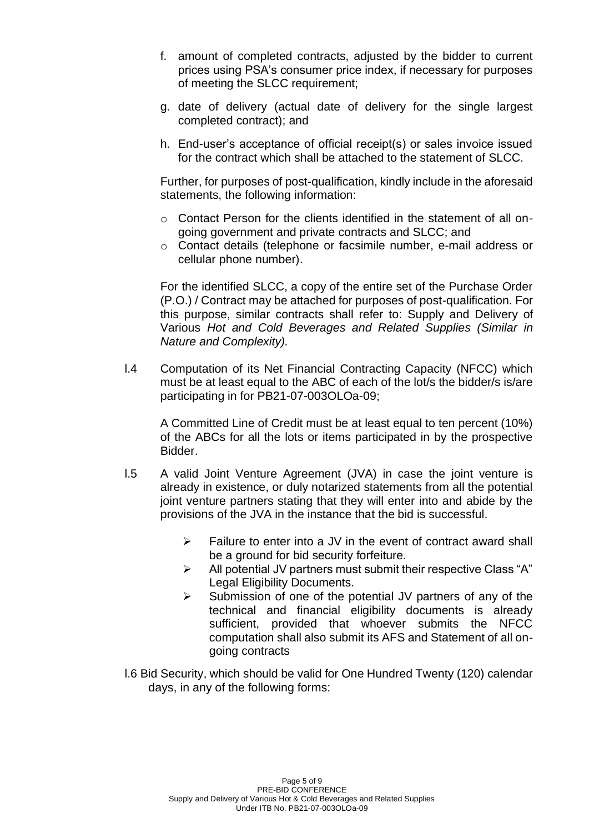- f. amount of completed contracts, adjusted by the bidder to current prices using PSA's consumer price index, if necessary for purposes of meeting the SLCC requirement;
- g. date of delivery (actual date of delivery for the single largest completed contract); and
- h. End-user's acceptance of official receipt(s) or sales invoice issued for the contract which shall be attached to the statement of SLCC.

Further, for purposes of post-qualification, kindly include in the aforesaid statements, the following information:

- $\circ$  Contact Person for the clients identified in the statement of all ongoing government and private contracts and SLCC; and
- o Contact details (telephone or facsimile number, e-mail address or cellular phone number).

For the identified SLCC, a copy of the entire set of the Purchase Order (P.O.) / Contract may be attached for purposes of post-qualification. For this purpose, similar contracts shall refer to: Supply and Delivery of Various *Hot and Cold Beverages and Related Supplies (Similar in Nature and Complexity).*

l.4 Computation of its Net Financial Contracting Capacity (NFCC) which must be at least equal to the ABC of each of the lot/s the bidder/s is/are participating in for PB21-07-003OLOa-09;

A Committed Line of Credit must be at least equal to ten percent (10%) of the ABCs for all the lots or items participated in by the prospective Bidder.

- l.5 A valid Joint Venture Agreement (JVA) in case the joint venture is already in existence, or duly notarized statements from all the potential joint venture partners stating that they will enter into and abide by the provisions of the JVA in the instance that the bid is successful.
	- $\triangleright$  Failure to enter into a JV in the event of contract award shall be a ground for bid security forfeiture.
	- ➢ All potential JV partners must submit their respective Class "A" Legal Eligibility Documents.
	- ➢ Submission of one of the potential JV partners of any of the technical and financial eligibility documents is already sufficient, provided that whoever submits the NFCC computation shall also submit its AFS and Statement of all ongoing contracts
- l.6 Bid Security, which should be valid for One Hundred Twenty (120) calendar days, in any of the following forms: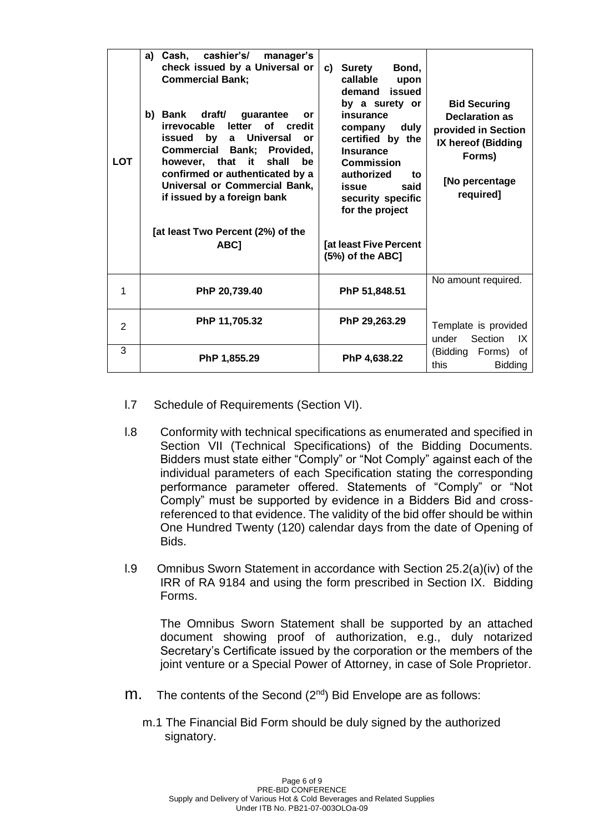| <b>LOT</b>     | a) Cash, cashier's/<br>manager's<br>check issued by a Universal or<br><b>Commercial Bank;</b><br>b) Bank draft/ guarantee<br><b>or</b><br>irrevocable<br>letter<br>of credit<br>by<br>a Universal<br>issued<br>or<br>Commercial Bank; Provided,<br>however, that<br>it<br>shall<br>be.<br>confirmed or authenticated by a<br>Universal or Commercial Bank,<br>if issued by a foreign bank<br>[at least Two Percent (2%) of the<br>ABC] | Bond,<br>Surety<br>c)<br>callable<br>upon<br>demand issued<br>by a surety or<br>insurance<br>duly<br>company<br>certified by the<br><b>Insurance</b><br><b>Commission</b><br>authorized<br>to<br>said<br>issue<br>security specific<br>for the project<br>[at least Five Percent<br>(5%) of the ABC] | <b>Bid Securing</b><br><b>Declaration as</b><br>provided in Section<br>IX hereof (Bidding<br>Forms)<br>[No percentage<br>required] |
|----------------|----------------------------------------------------------------------------------------------------------------------------------------------------------------------------------------------------------------------------------------------------------------------------------------------------------------------------------------------------------------------------------------------------------------------------------------|------------------------------------------------------------------------------------------------------------------------------------------------------------------------------------------------------------------------------------------------------------------------------------------------------|------------------------------------------------------------------------------------------------------------------------------------|
| 1              | PhP 20,739.40                                                                                                                                                                                                                                                                                                                                                                                                                          | PhP 51,848.51                                                                                                                                                                                                                                                                                        | No amount required.                                                                                                                |
| $\overline{2}$ | PhP 11,705.32                                                                                                                                                                                                                                                                                                                                                                                                                          | PhP 29,263.29                                                                                                                                                                                                                                                                                        | Template is provided<br>under Section<br>IX                                                                                        |
| 3              | PhP 1,855.29                                                                                                                                                                                                                                                                                                                                                                                                                           | PhP 4,638.22                                                                                                                                                                                                                                                                                         | (Bidding Forms)<br>0f<br>this<br><b>Bidding</b>                                                                                    |

- l.7 Schedule of Requirements (Section VI).
- l.8 Conformity with technical specifications as enumerated and specified in Section VII (Technical Specifications) of the Bidding Documents. Bidders must state either "Comply" or "Not Comply" against each of the individual parameters of each Specification stating the corresponding performance parameter offered. Statements of "Comply" or "Not Comply" must be supported by evidence in a Bidders Bid and crossreferenced to that evidence. The validity of the bid offer should be within One Hundred Twenty (120) calendar days from the date of Opening of Bids.
- l.9 Omnibus Sworn Statement in accordance with Section 25.2(a)(iv) of the IRR of RA 9184 and using the form prescribed in Section IX. Bidding Forms.

The Omnibus Sworn Statement shall be supported by an attached document showing proof of authorization, e.g., duly notarized Secretary's Certificate issued by the corporation or the members of the joint venture or a Special Power of Attorney, in case of Sole Proprietor.

- m. The contents of the Second (2<sup>nd</sup>) Bid Envelope are as follows:
	- m.1 The Financial Bid Form should be duly signed by the authorized signatory.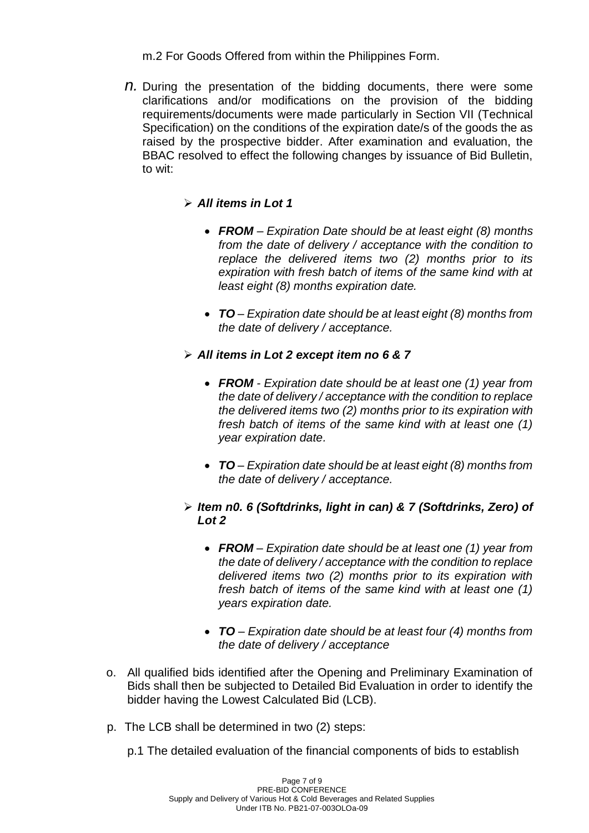m.2 For Goods Offered from within the Philippines Form.

*n.* During the presentation of the bidding documents, there were some clarifications and/or modifications on the provision of the bidding requirements/documents were made particularly in Section VII (Technical Specification) on the conditions of the expiration date/s of the goods the as raised by the prospective bidder. After examination and evaluation, the BBAC resolved to effect the following changes by issuance of Bid Bulletin, to wit:

# ➢ *All items in Lot 1*

- *FROM – Expiration Date should be at least eight (8) months from the date of delivery / acceptance with the condition to replace the delivered items two (2) months prior to its expiration with fresh batch of items of the same kind with at least eight (8) months expiration date.*
- *TO – Expiration date should be at least eight (8) months from the date of delivery / acceptance.*
- ➢ *All items in Lot 2 except item no 6 & 7*
	- *FROM - Expiration date should be at least one (1) year from the date of delivery / acceptance with the condition to replace the delivered items two (2) months prior to its expiration with fresh batch of items of the same kind with at least one (1) year expiration date.*
	- *TO – Expiration date should be at least eight (8) months from the date of delivery / acceptance.*
- ➢ *Item n0. 6 (Softdrinks, light in can) & 7 (Softdrinks, Zero) of Lot 2*
	- *FROM – Expiration date should be at least one (1) year from the date of delivery / acceptance with the condition to replace delivered items two (2) months prior to its expiration with fresh batch of items of the same kind with at least one (1) years expiration date.*
	- *TO – Expiration date should be at least four (4) months from the date of delivery / acceptance*
- o. All qualified bids identified after the Opening and Preliminary Examination of Bids shall then be subjected to Detailed Bid Evaluation in order to identify the bidder having the Lowest Calculated Bid (LCB).
- p. The LCB shall be determined in two (2) steps:

p.1 The detailed evaluation of the financial components of bids to establish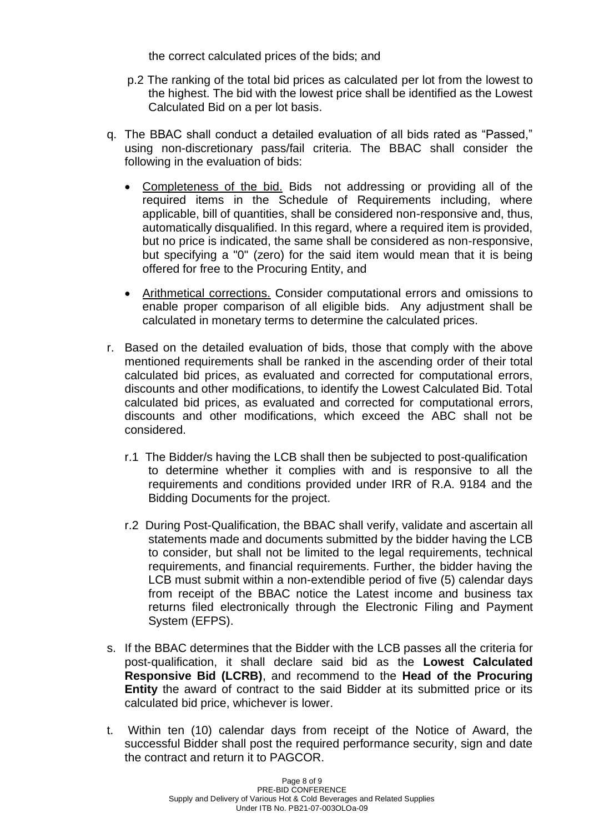the correct calculated prices of the bids; and

- p.2 The ranking of the total bid prices as calculated per lot from the lowest to the highest. The bid with the lowest price shall be identified as the Lowest Calculated Bid on a per lot basis.
- q. The BBAC shall conduct a detailed evaluation of all bids rated as "Passed," using non-discretionary pass/fail criteria. The BBAC shall consider the following in the evaluation of bids:
	- Completeness of the bid. Bids not addressing or providing all of the required items in the Schedule of Requirements including, where applicable, bill of quantities, shall be considered non-responsive and, thus, automatically disqualified. In this regard, where a required item is provided, but no price is indicated, the same shall be considered as non-responsive, but specifying a "0" (zero) for the said item would mean that it is being offered for free to the Procuring Entity, and
	- Arithmetical corrections. Consider computational errors and omissions to enable proper comparison of all eligible bids. Any adjustment shall be calculated in monetary terms to determine the calculated prices.
- r. Based on the detailed evaluation of bids, those that comply with the above mentioned requirements shall be ranked in the ascending order of their total calculated bid prices, as evaluated and corrected for computational errors, discounts and other modifications, to identify the Lowest Calculated Bid. Total calculated bid prices, as evaluated and corrected for computational errors, discounts and other modifications, which exceed the ABC shall not be considered.
	- r.1 The Bidder/s having the LCB shall then be subjected to post-qualification to determine whether it complies with and is responsive to all the requirements and conditions provided under IRR of R.A. 9184 and the Bidding Documents for the project.
	- r.2 During Post-Qualification, the BBAC shall verify, validate and ascertain all statements made and documents submitted by the bidder having the LCB to consider, but shall not be limited to the legal requirements, technical requirements, and financial requirements. Further, the bidder having the LCB must submit within a non-extendible period of five (5) calendar days from receipt of the BBAC notice the Latest income and business tax returns filed electronically through the Electronic Filing and Payment System (EFPS).
- s. If the BBAC determines that the Bidder with the LCB passes all the criteria for post-qualification, it shall declare said bid as the **Lowest Calculated Responsive Bid (LCRB)**, and recommend to the **Head of the Procuring Entity** the award of contract to the said Bidder at its submitted price or its calculated bid price, whichever is lower.
- t. Within ten (10) calendar days from receipt of the Notice of Award, the successful Bidder shall post the required performance security, sign and date the contract and return it to PAGCOR.